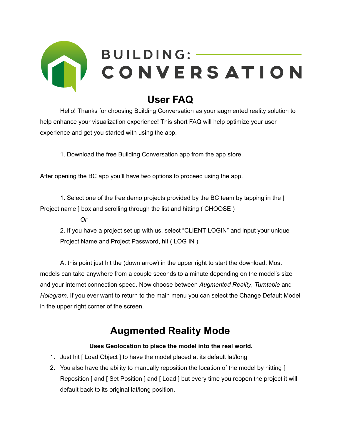

### **User FAQ**

Hello! Thanks for choosing Building Conversation as your augmented reality solution to help enhance your visualization experience! This short FAQ will help optimize your user experience and get you started with using the app.

1. Download the free Building Conversation app from the app store.

After opening the BC app you'll have two options to proceed using the app.

1. Select one of the free demo projects provided by the BC team by tapping in the [ Project name ] box and scrolling through the list and hitting ( CHOOSE )

*Or*

2. If you have a project set up with us, select "CLIENT LOGIN" and input your unique Project Name and Project Password, hit ( LOG IN )

At this point just hit the (down arrow) in the upper right to start the download. Most models can take anywhere from a couple seconds to a minute depending on the model's size and your internet connection speed. Now choose between *Augmented Reality*, *Turntable* and *Hologram*. If you ever want to return to the main menu you can select the Change Default Model in the upper right corner of the screen.

### **Augmented Reality Mode**

#### **Uses Geolocation to place the model into the real world.**

- 1. Just hit [ Load Object ] to have the model placed at its default lat/long
- 2. You also have the ability to manually reposition the location of the model by hitting [ Reposition ] and [ Set Position ] and [ Load ] but every time you reopen the project it will default back to its original lat/long position.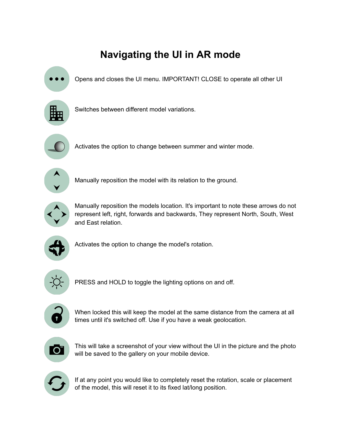## **Navigating the UI in AR mode**

Opens and closes the UI menu. IMPORTANT! CLOSE to operate all other UI



Switches between different model variations.



Activates the option to change between summer and winter mode.



Manually reposition the model with its relation to the ground.



Manually reposition the models location. It's important to note these arrows do not represent left, right, forwards and backwards, They represent North, South, West and East relation.



Activates the option to change the model's rotation.



PRESS and HOLD to toggle the lighting options on and off.



When locked this will keep the model at the same distance from the camera at all times until it's switched off. Use if you have a weak geolocation.



This will take a screenshot of your view without the UI in the picture and the photo will be saved to the gallery on your mobile device.



If at any point you would like to completely reset the rotation, scale or placement of the model, this will reset it to its fixed lat/long position.